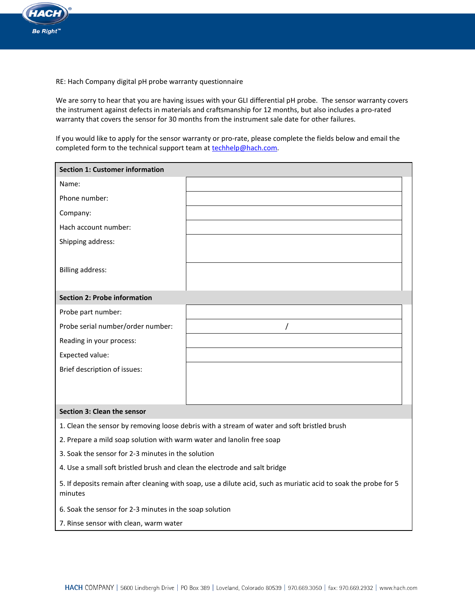

RE: Hach Company digital pH probe warranty questionnaire

We are sorry to hear that you are having issues with your GLI differential pH probe. The sensor warranty covers the instrument against defects in materials and craftsmanship for 12 months, but also includes a pro-rated warranty that covers the sensor for 30 months from the instrument sale date for other failures.

If you would like to apply for the sensor warranty or pro-rate, please complete the fields below and email the completed form to the technical support team at **techhelp@hach.com**.

| <b>Section 1: Customer information</b>                                                                                      |  |  |  |  |
|-----------------------------------------------------------------------------------------------------------------------------|--|--|--|--|
| Name:                                                                                                                       |  |  |  |  |
| Phone number:                                                                                                               |  |  |  |  |
| Company:                                                                                                                    |  |  |  |  |
| Hach account number:                                                                                                        |  |  |  |  |
| Shipping address:                                                                                                           |  |  |  |  |
|                                                                                                                             |  |  |  |  |
| <b>Billing address:</b>                                                                                                     |  |  |  |  |
|                                                                                                                             |  |  |  |  |
| <b>Section 2: Probe information</b>                                                                                         |  |  |  |  |
| Probe part number:                                                                                                          |  |  |  |  |
| Probe serial number/order number:                                                                                           |  |  |  |  |
| Reading in your process:                                                                                                    |  |  |  |  |
| Expected value:                                                                                                             |  |  |  |  |
| Brief description of issues:                                                                                                |  |  |  |  |
|                                                                                                                             |  |  |  |  |
|                                                                                                                             |  |  |  |  |
| <b>Section 3: Clean the sensor</b>                                                                                          |  |  |  |  |
| 1. Clean the sensor by removing loose debris with a stream of water and soft bristled brush                                 |  |  |  |  |
| 2. Prepare a mild soap solution with warm water and lanolin free soap                                                       |  |  |  |  |
| 3. Soak the sensor for 2-3 minutes in the solution                                                                          |  |  |  |  |
| 4. Use a small soft bristled brush and clean the electrode and salt bridge                                                  |  |  |  |  |
| 5. If deposits remain after cleaning with soap, use a dilute acid, such as muriatic acid to soak the probe for 5<br>minutes |  |  |  |  |

6. Soak the sensor for 2-3 minutes in the soap solution

7. Rinse sensor with clean, warm water